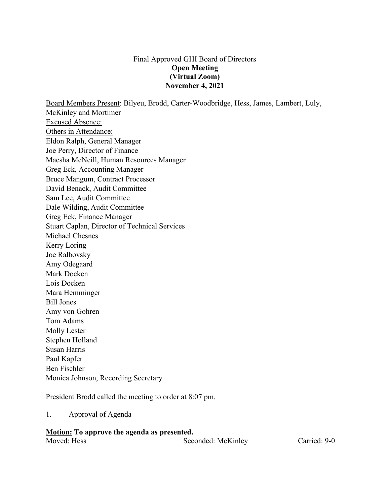### Final Approved GHI Board of Directors **Open Meeting (Virtual Zoom) November 4, 2021**

Board Members Present: Bilyeu, Brodd, Carter-Woodbridge, Hess, James, Lambert, Luly, McKinley and Mortimer Excused Absence: Others in Attendance: Eldon Ralph, General Manager Joe Perry, Director of Finance Maesha McNeill, Human Resources Manager Greg Eck, Accounting Manager Bruce Mangum, Contract Processor David Benack, Audit Committee Sam Lee, Audit Committee Dale Wilding, Audit Committee Greg Eck, Finance Manager Stuart Caplan, Director of Technical Services Michael Chesnes Kerry Loring Joe Ralbovsky Amy Odegaard Mark Docken Lois Docken Mara Hemminger Bill Jones Amy von Gohren Tom Adams Molly Lester Stephen Holland Susan Harris Paul Kapfer Ben Fischler Monica Johnson, Recording Secretary

President Brodd called the meeting to order at 8:07 pm.

1. Approval of Agenda

#### **Motion: To approve the agenda as presented.**

Moved: Hess Seconded: McKinley Carried: 9-0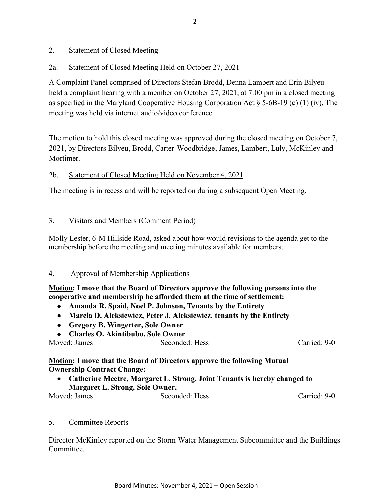#### 2. Statement of Closed Meeting

### 2a. Statement of Closed Meeting Held on October 27, 2021

A Complaint Panel comprised of Directors Stefan Brodd, Denna Lambert and Erin Bilyeu held a complaint hearing with a member on October 27, 2021, at 7:00 pm in a closed meeting as specified in the Maryland Cooperative Housing Corporation Act  $\S$  5-6B-19 (e) (1) (iv). The meeting was held via internet audio/video conference.

The motion to hold this closed meeting was approved during the closed meeting on October 7, 2021, by Directors Bilyeu, Brodd, Carter-Woodbridge, James, Lambert, Luly, McKinley and Mortimer.

### 2b. Statement of Closed Meeting Held on November 4, 2021

The meeting is in recess and will be reported on during a subsequent Open Meeting.

### 3. Visitors and Members (Comment Period)

Molly Lester, 6-M Hillside Road, asked about how would revisions to the agenda get to the membership before the meeting and meeting minutes available for members.

#### 4. Approval of Membership Applications

**Motion: I move that the Board of Directors approve the following persons into the cooperative and membership be afforded them at the time of settlement:**

- **Amanda R. Spaid, Noel P. Johnson, Tenants by the Entirety**
- **Marcia D. Aleksiewicz, Peter J. Aleksiewicz, tenants by the Entirety**
- **Gregory B. Wingerter, Sole Owner**
- **Charles O. Akintibubo, Sole Owner**

Moved: James Seconded: Hess Carried: 9-0

**Motion: I move that the Board of Directors approve the following Mutual Ownership Contract Change:**

• **Catherine Meetre, Margaret L. Strong, Joint Tenants is hereby changed to Margaret L. Strong, Sole Owner.**

Moved: James Seconded: Hess Carried: 9-0

## 5. Committee Reports

Director McKinley reported on the Storm Water Management Subcommittee and the Buildings Committee.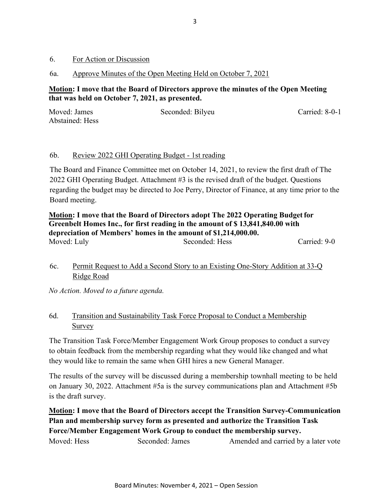#### 6. For Action or Discussion

#### 6a. Approve Minutes of the Open Meeting Held on October 7, 2021

## **Motion: I move that the Board of Directors approve the minutes of the Open Meeting that was held on October 7, 2021, as presented.**

| Moved: James    | Seconded: Bilyeu | Carried: 8-0-1 |
|-----------------|------------------|----------------|
| Abstained: Hess |                  |                |

#### 6b. Review 2022 GHI Operating Budget - 1st reading

The Board and Finance Committee met on October 14, 2021, to review the first draft of The 2022 GHI Operating Budget. Attachment #3 is the revised draft of the budget. Questions regarding the budget may be directed to Joe Perry, Director of Finance, at any time prior to the Board meeting.

**Motion: I move that the Board of Directors adopt The 2022 Operating Budgetfor Greenbelt Homes Inc., for first reading in the amount of \$ 13,841,840.00 with depreciation of Members' homes in the amount of \$1,214,000.00.** Moved: Luly Seconded: Hess Carried: 9-0

# 6c. Permit Request to Add a Second Story to an Existing One-Story Addition at 33-Q Ridge Road

*No Action. Moved to a future agenda.*

# 6d. Transition and Sustainability Task Force Proposal to Conduct a Membership Survey

The Transition Task Force/Member Engagement Work Group proposes to conduct a survey to obtain feedback from the membership regarding what they would like changed and what they would like to remain the same when GHI hires a new General Manager.

The results of the survey will be discussed during a membership townhall meeting to be held on January 30, 2022. Attachment #5a is the survey communications plan and Attachment #5b is the draft survey.

**Motion: I move that the Board of Directors accept the Transition Survey-Communication Plan and membership survey form as presented and authorize the Transition Task Force/Member Engagement Work Group to conduct the membership survey.** Moved: Hess Seconded: James Amended and carried by a later vote